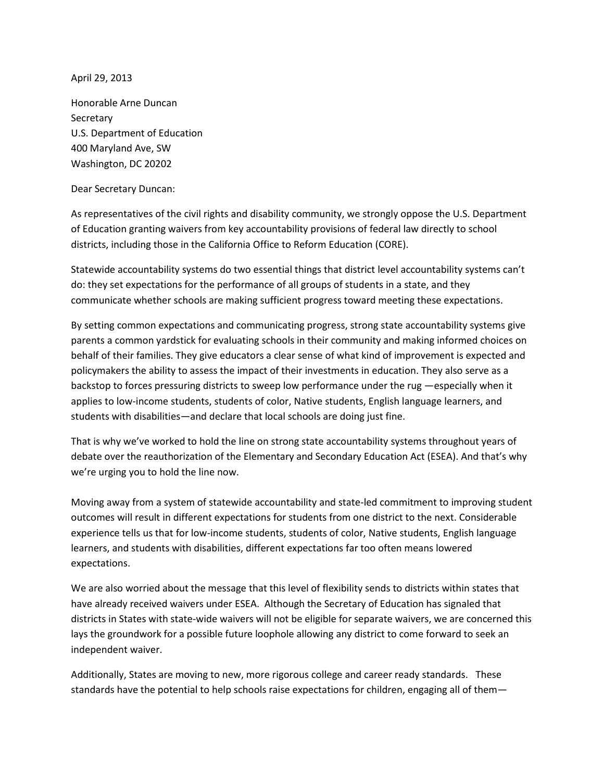April 29, 2013

Honorable Arne Duncan **Secretary** U.S. Department of Education 400 Maryland Ave, SW Washington, DC 20202

Dear Secretary Duncan:

As representatives of the civil rights and disability community, we strongly oppose the U.S. Department of Education granting waivers from key accountability provisions of federal law directly to school districts, including those in the California Office to Reform Education (CORE).

Statewide accountability systems do two essential things that district level accountability systems can't do: they set expectations for the performance of all groups of students in a state, and they communicate whether schools are making sufficient progress toward meeting these expectations.

By setting common expectations and communicating progress, strong state accountability systems give parents a common yardstick for evaluating schools in their community and making informed choices on behalf of their families. They give educators a clear sense of what kind of improvement is expected and policymakers the ability to assess the impact of their investments in education. They also serve as a backstop to forces pressuring districts to sweep low performance under the rug —especially when it applies to low-income students, students of color, Native students, English language learners, and students with disabilities—and declare that local schools are doing just fine.

That is why we've worked to hold the line on strong state accountability systems throughout years of debate over the reauthorization of the Elementary and Secondary Education Act (ESEA). And that's why we're urging you to hold the line now.

Moving away from a system of statewide accountability and state-led commitment to improving student outcomes will result in different expectations for students from one district to the next. Considerable experience tells us that for low-income students, students of color, Native students, English language learners, and students with disabilities, different expectations far too often means lowered expectations.

We are also worried about the message that this level of flexibility sends to districts within states that have already received waivers under ESEA. Although the Secretary of Education has signaled that districts in States with state-wide waivers will not be eligible for separate waivers, we are concerned this lays the groundwork for a possible future loophole allowing any district to come forward to seek an independent waiver.

Additionally, States are moving to new, more rigorous college and career ready standards. These standards have the potential to help schools raise expectations for children, engaging all of them